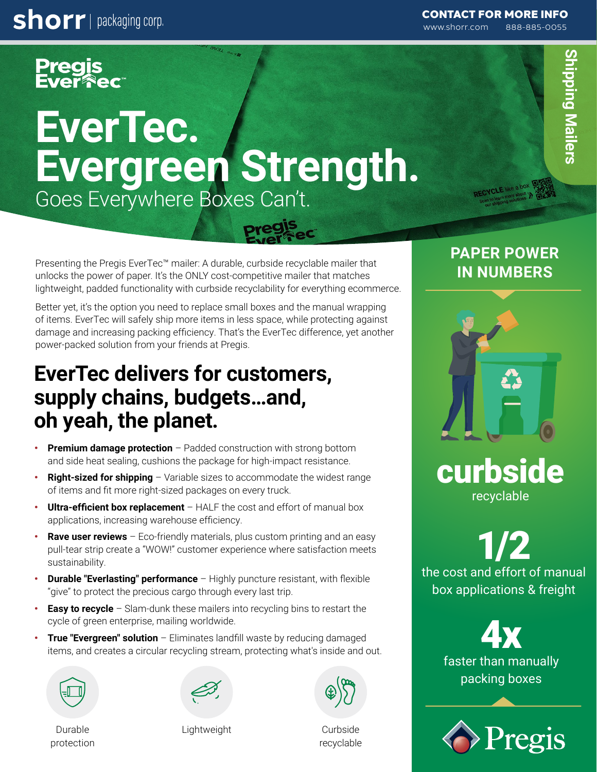**shorr** | packaging corp.

Pregis<br>Ever**î** ec

# **EverTec. Evergreen Strength.**  Goes Everywhere Boxes Can't.

Presenting the Pregis EverTec™ mailer: A durable, curbside recyclable mailer that unlocks the power of paper. It's the ONLY cost-competitive mailer that matches lightweight, padded functionality with curbside recyclability for everything ecommerce.

Better yet, it's the option you need to replace small boxes and the manual wrapping of items. EverTec will safely ship more items in less space, while protecting against damage and increasing packing efficiency. That's the EverTec difference, yet another power-packed solution from your friends at Pregis.

# **EverTec delivers for customers, supply chains, budgets…and, oh yeah, the planet.**

- **Premium damage protection** Padded construction with strong bottom and side heat sealing, cushions the package for high-impact resistance.
- **Right-sized for shipping** Variable sizes to accommodate the widest range of items and fit more right-sized packages on every truck.
- **Ultra-efficient box replacement**  HALF the cost and effort of manual box applications, increasing warehouse efficiency.
- **Rave user reviews** Eco-friendly materials, plus custom printing and an easy pull-tear strip create a "WOW!" customer experience where satisfaction meets sustainability.
- **Durable "Everlasting" performance**  Highly puncture resistant, with flexible "give" to protect the precious cargo through every last trip.
- **Easy to recycle** Slam-dunk these mailers into recycling bins to restart the cycle of green enterprise, mailing worldwide.
- **True "Evergreen" solution**  Eliminates landfill waste by reducing damaged items, and creates a circular recycling stream, protecting what's inside and out.







Durable protection Lightweight

Curbside recyclable

#### [CONTACT FOR MORE INFO](https://www.shorr.com/contact-us?ref=pdf-pregis-evertec-mailer)

www.shorr.com 888-885-0055

## **PAPER POWER IN NUMBERS**



curbside recyclable

1/2 the cost and effort of manual box applications & freight

> 4x faster than manually packing boxes